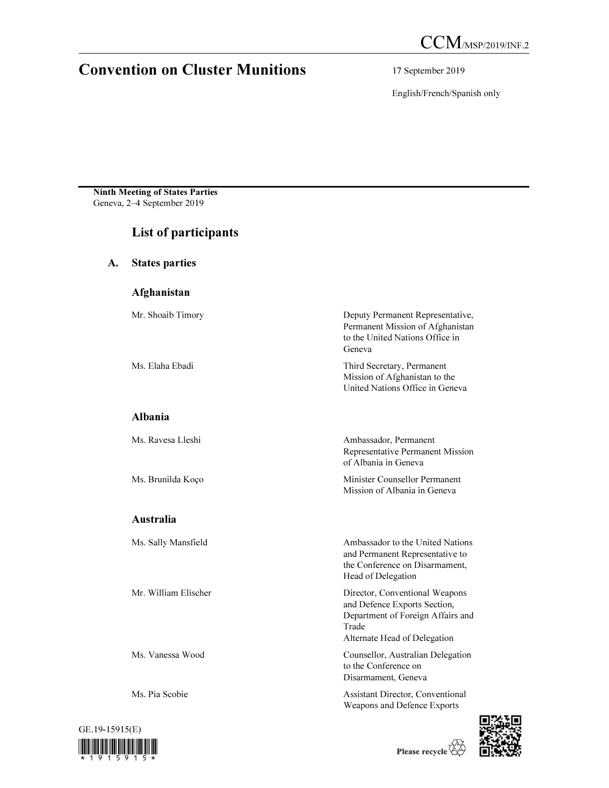# Convention on Cluster Munitions 17 September 2019

English/French/Spanish only

Ninth Meeting of States Parties Geneva, 2–4 September 2019

# List of participants

A. States parties

## Afghanistan

| Mr. Shoaib Timory    | Deputy Permanent Representative,<br>Permanent Mission of Afghanistan<br>to the United Nations Office in                                      |
|----------------------|----------------------------------------------------------------------------------------------------------------------------------------------|
|                      | Geneva                                                                                                                                       |
| Ms. Elaha Ebadi      | Third Secretary, Permanent<br>Mission of Afghanistan to the<br>United Nations Office in Geneva                                               |
| <b>Albania</b>       |                                                                                                                                              |
| Ms. Ravesa Lleshi    | Ambassador, Permanent<br>Representative Permanent Mission<br>of Albania in Geneva                                                            |
| Ms. Brunilda Koço    | Minister Counsellor Permanent<br>Mission of Albania in Geneva                                                                                |
| <b>Australia</b>     |                                                                                                                                              |
| Ms. Sally Mansfield  | Ambassador to the United Nations<br>and Permanent Representative to<br>the Conference on Disarmament,<br>Head of Delegation                  |
| Mr. William Elischer | Director, Conventional Weapons<br>and Defence Exports Section,<br>Department of Foreign Affairs and<br>Trade<br>Alternate Head of Delegation |
| Ms. Vanessa Wood     | Counsellor, Australian Delegation<br>to the Conference on                                                                                    |

Ms. Pia Scobie Assistant Director, Conventional



Please recycle

Disarmament, Geneva

Weapons and Defence Exports

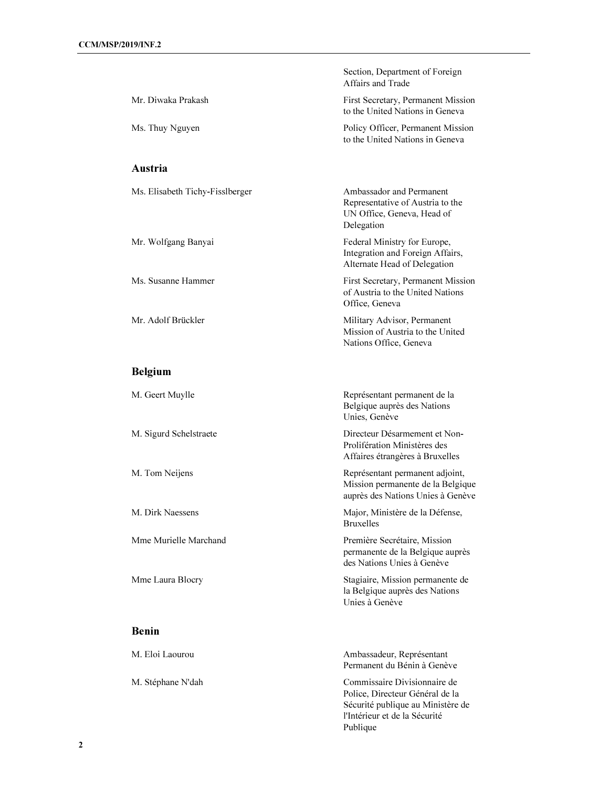|                                 | Section, Department of Foreign<br>Affairs and Trade                                                       |
|---------------------------------|-----------------------------------------------------------------------------------------------------------|
| Mr. Diwaka Prakash              | First Secretary, Permanent Mission<br>to the United Nations in Geneva                                     |
| Ms. Thuy Nguyen                 | Policy Officer, Permanent Mission<br>to the United Nations in Geneva                                      |
| Austria                         |                                                                                                           |
| Ms. Elisabeth Tichy-Fisslberger | Ambassador and Permanent<br>Representative of Austria to the<br>UN Office, Geneva, Head of<br>Delegation  |
| Mr. Wolfgang Banyai             | Federal Ministry for Europe,<br>Integration and Foreign Affairs,<br>Alternate Head of Delegation          |
| Ms. Susanne Hammer              | First Secretary, Permanent Mission<br>of Austria to the United Nations<br>Office, Geneva                  |
| Mr. Adolf Brückler              | Military Advisor, Permanent<br>Mission of Austria to the United<br>Nations Office, Geneva                 |
| <b>Belgium</b>                  |                                                                                                           |
| M. Geert Muylle                 | Représentant permanent de la<br>Belgique auprès des Nations<br>Unies, Genève                              |
| M. Sigurd Schelstraete          | Directeur Désarmement et Non-<br>Prolifération Ministères des<br>Affaires étrangères à Bruxelles          |
| M. Tom Neijens                  | Représentant permanent adjoint,<br>Mission permanente de la Belgique<br>auprès des Nations Unies à Genève |
| M. Dirk Naessens                | Major, Ministère de la Défense,<br><b>Bruxelles</b>                                                       |
| Mme Murielle Marchand           | Première Secrétaire, Mission<br>permanente de la Belgique auprès<br>des Nations Unies à Genève            |
| Mme Laura Blocry                | Stagiaire, Mission permanente de<br>la Belgique auprès des Nations<br>Unies à Genève                      |
| <b>Benin</b>                    |                                                                                                           |
| M. Eloi Laourou                 | Ambassadeur, Représentant<br>Permanent du Bénin à Genève                                                  |
| M. Stéphane N'dah               | Commissaire Divisionnaire de                                                                              |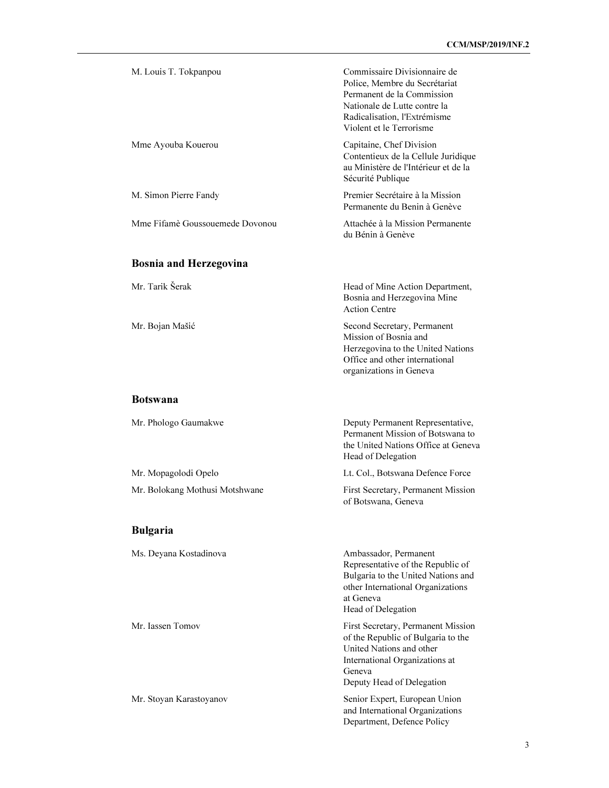| M. Louis T. Tokpanpou           | Commissaire Divisionnaire de<br>Police, Membre du Secrétariat<br>Permanent de la Commission<br>Nationale de Lutte contre la<br>Radicalisation, l'Extrémisme<br>Violent et le Terrorisme |
|---------------------------------|-----------------------------------------------------------------------------------------------------------------------------------------------------------------------------------------|
| Mme Ayouba Kouerou              | Capitaine, Chef Division<br>Contentieux de la Cellule Juridique<br>au Ministère de l'Intérieur et de la<br>Sécurité Publique                                                            |
| M. Simon Pierre Fandy           | Premier Secrétaire à la Mission<br>Permanente du Benin à Genève                                                                                                                         |
| Mme Fifamè Goussouemede Dovonou | Attachée à la Mission Permanente<br>du Bénin à Genève                                                                                                                                   |
| <b>Bosnia and Herzegovina</b>   |                                                                                                                                                                                         |
| Mr. Tarik Šerak                 | Head of Mine Action Department,<br>Bosnia and Herzegovina Mine<br><b>Action Centre</b>                                                                                                  |
| Mr. Bojan Mašić                 | Second Secretary, Permanent<br>Mission of Bosnia and<br>Herzegovina to the United Nations<br>Office and other international<br>organizations in Geneva                                  |
| <b>Botswana</b>                 |                                                                                                                                                                                         |
| Mr. Phologo Gaumakwe            | Deputy Permanent Representative,<br>Permanent Mission of Botswana to<br>the United Nations Office at Geneva<br>Head of Delegation                                                       |
| Mr. Mopagolodi Opelo            | Lt. Col., Botswana Defence Force                                                                                                                                                        |
| Mr. Bolokang Mothusi Motshwane  | First Secretary, Permanent Mission<br>of Botswana, Geneva                                                                                                                               |
| <b>Bulgaria</b>                 |                                                                                                                                                                                         |
| Ms. Deyana Kostadinova          | Ambassador, Permanent<br>Representative of the Republic of<br>Bulgaria to the United Nations and<br>other International Organizations<br>at Geneva<br>Head of Delegation                |
| Mr. Iassen Tomov                | First Secretary, Permanent Mission<br>of the Republic of Bulgaria to the<br>United Nations and other<br>International Organizations at<br>Geneva<br>Deputy Head of Delegation           |
| Mr. Stoyan Karastoyanov         | Senior Expert, European Union<br>and International Organizations<br>Department, Defence Policy                                                                                          |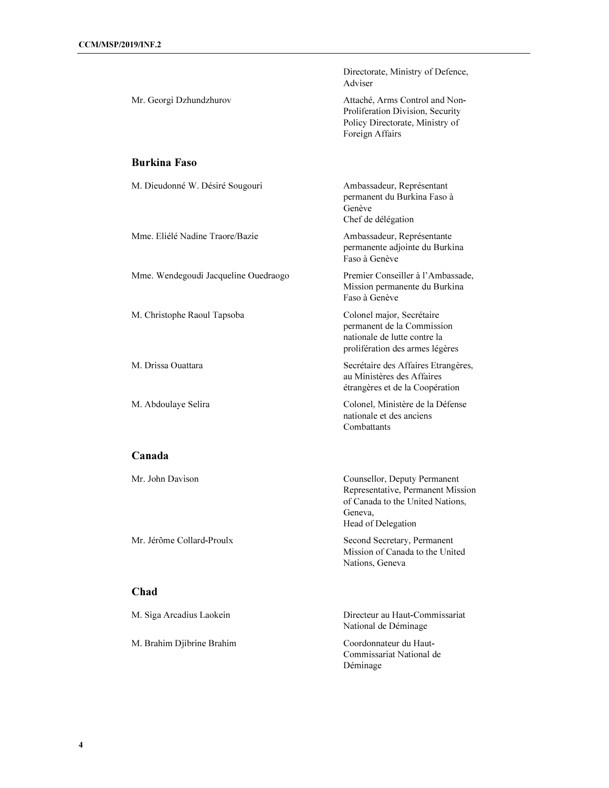|                                      | Directorate, Ministry of Defence,<br>Adviser                                                                                           |
|--------------------------------------|----------------------------------------------------------------------------------------------------------------------------------------|
| Mr. Georgi Dzhundzhurov              | Attaché, Arms Control and Non-<br>Proliferation Division, Security<br>Policy Directorate, Ministry of<br>Foreign Affairs               |
| <b>Burkina Faso</b>                  |                                                                                                                                        |
| M. Dieudonné W. Désiré Sougouri      | Ambassadeur, Représentant<br>permanent du Burkina Faso à<br>Genève<br>Chef de délégation                                               |
| Mme. Eliélé Nadine Traore/Bazie      | Ambassadeur, Représentante<br>permanente adjointe du Burkina<br>Faso à Genève                                                          |
| Mme. Wendegoudi Jacqueline Ouedraogo | Premier Conseiller à l'Ambassade,<br>Mission permanente du Burkina<br>Faso à Genève                                                    |
| M. Christophe Raoul Tapsoba          | Colonel major, Secrétaire<br>permanent de la Commission<br>nationale de lutte contre la<br>prolifération des armes légères             |
| M. Drissa Ouattara                   | Secrétaire des Affaires Etrangères,<br>au Ministères des Affaires<br>étrangères et de la Coopération                                   |
| M. Abdoulaye Selira                  | Colonel, Ministère de la Défense<br>nationale et des anciens<br>Combattants                                                            |
| Canada                               |                                                                                                                                        |
| Mr. John Davison                     | Counsellor, Deputy Permanent<br>Representative, Permanent Mission<br>of Canada to the United Nations,<br>Geneva,<br>Head of Delegation |
| Mr. Jérôme Collard-Proulx            | Second Secretary, Permanent<br>Mission of Canada to the United<br>Nations, Geneva                                                      |
| Chad                                 |                                                                                                                                        |
| M. Siga Arcadius Laokein             | Directeur au Haut-Commissariat                                                                                                         |

M. Brahim Djibrine Brahim Coordonnateur du Haut-

National de Déminage

Commissariat National de Déminage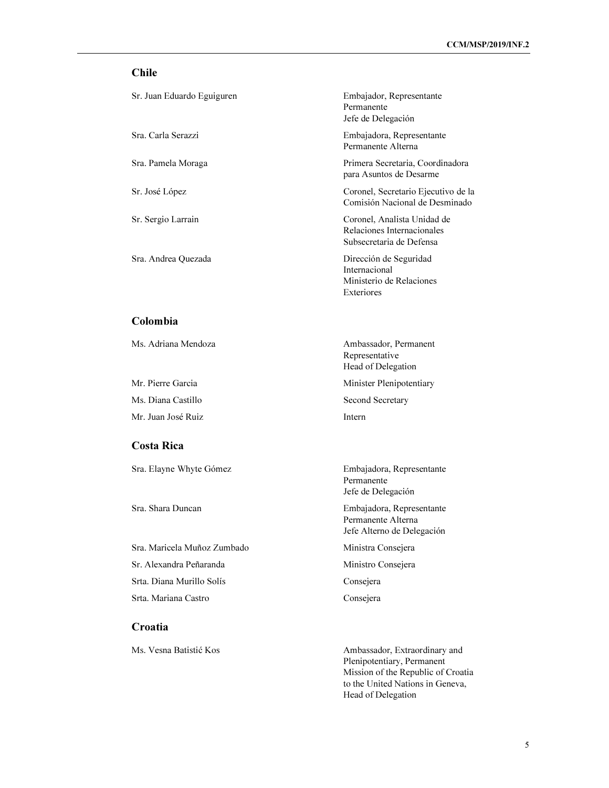## Chile

| Sr. Juan Eduardo Eguiguren | Embajador, Representante<br>Permanente<br>Jefe de Delegación                          |
|----------------------------|---------------------------------------------------------------------------------------|
| Sra. Carla Serazzi         | Embajadora, Representante<br>Permanente Alterna                                       |
| Sra. Pamela Moraga         | Primera Secretaria, Coordinadora<br>para Asuntos de Desarme                           |
| Sr. José López             | Coronel, Secretario Ejecutivo de la<br>Comisión Nacional de Desminado                 |
| Sr. Sergio Larrain         | Coronel, Analista Unidad de<br>Relaciones Internacionales<br>Subsecretaria de Defensa |
| Sra. Andrea Quezada        | Dirección de Seguridad<br>Internacional<br>Ministerio de Relaciones<br>Exteriores     |

#### Colombia

Ms. Diana Castillo Second Secretary

Mr. Juan José Ruiz **Internetweater and Internetweater and Internetweater and Internetweater and Internetweater** 

#### Costa Rica

Sra. Elayne Whyte Gómez **Embajadora**, Representante

Sra. Maricela Muñoz Zumbado Ministra Consejera Sr. Alexandra Peñaranda Ministro Consejera Srta. Diana Murillo Solís Consejera Srta. Mariana Castro Consejera

#### Croatia

Ms. Adriana Mendoza **Ambassador**, Permanent Representative Head of Delegation

Mr. Pierre Garcia Minister Plenipotentiary

Permanente Jefe de Delegación

Sra. Shara Duncan Embajadora, Representante Permanente Alterna Jefe Alterno de Delegación

Ms. Vesna Batistić Kos Ambassador, Extraordinary and Plenipotentiary, Permanent Mission of the Republic of Croatia to the United Nations in Geneva, Head of Delegation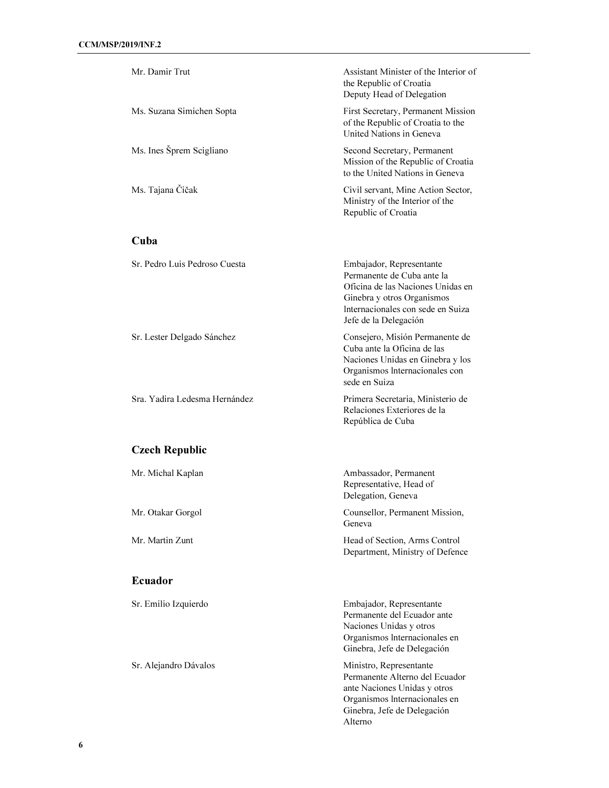| Mr. Damir Trut                | Assistant Minister of the Interior of<br>the Republic of Croatia<br>Deputy Head of Delegation                                                                                           |
|-------------------------------|-----------------------------------------------------------------------------------------------------------------------------------------------------------------------------------------|
| Ms. Suzana Simichen Sopta     | First Secretary, Permanent Mission<br>of the Republic of Croatia to the<br>United Nations in Geneva                                                                                     |
| Ms. Ines Šprem Scigliano      | Second Secretary, Permanent<br>Mission of the Republic of Croatia<br>to the United Nations in Geneva                                                                                    |
| Ms. Tajana Čičak              | Civil servant, Mine Action Sector,<br>Ministry of the Interior of the<br>Republic of Croatia                                                                                            |
| Cuba                          |                                                                                                                                                                                         |
| Sr. Pedro Luis Pedroso Cuesta | Embajador, Representante<br>Permanente de Cuba ante la<br>Oficina de las Naciones Unidas en<br>Ginebra y otros Organismos<br>Internacionales con sede en Suiza<br>Jefe de la Delegación |
| Sr. Lester Delgado Sánchez    | Consejero, Misión Permanente de<br>Cuba ante la Oficina de las<br>Naciones Unidas en Ginebra y los<br>Organismos Internacionales con<br>sede en Suiza                                   |
| Sra. Yadira Ledesma Hernández | Primera Secretaria, Ministerio de<br>Relaciones Exteriores de la<br>República de Cuba                                                                                                   |
| <b>Czech Republic</b>         |                                                                                                                                                                                         |
| Mr. Michal Kaplan             | Ambassador, Permanent<br>Representative, Head of<br>Delegation, Geneva                                                                                                                  |
| Mr. Otakar Gorgol             | Counsellor, Permanent Mission,<br>Geneva                                                                                                                                                |
| Mr. Martin Zunt               | Head of Section, Arms Control<br>Department, Ministry of Defence                                                                                                                        |
| <b>Ecuador</b>                |                                                                                                                                                                                         |
| Sr. Emilio Izquierdo          | Embajador, Representante<br>Permanente del Ecuador ante<br>Naciones Unidas y otros<br>Organismos Internacionales en<br>Ginebra, Jefe de Delegación                                      |
| Sr. Alejandro Dávalos         | Ministro, Representante<br>Permanente Alterno del Ecuador<br>ante Naciones Unidas y otros<br>Organismos Internacionales en<br>Ginebra, Jefe de Delegación                               |

Alterno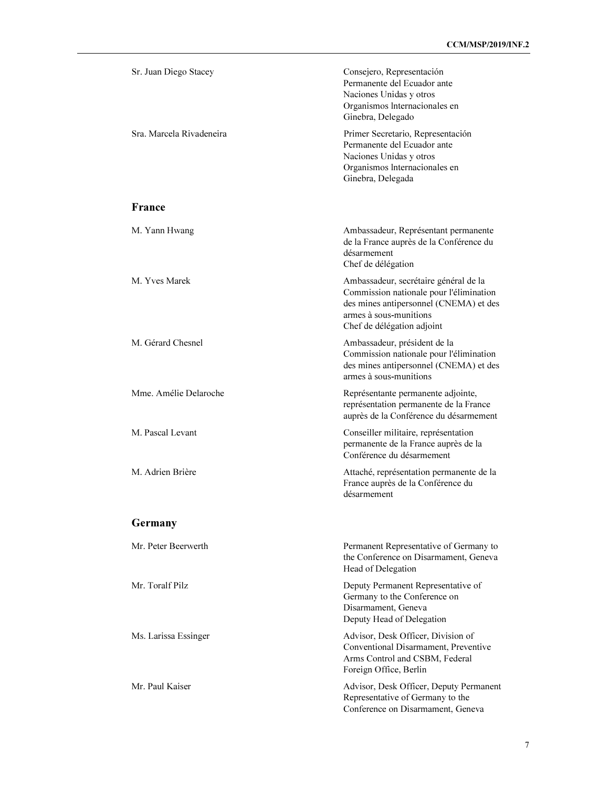| Sr. Juan Diego Stacey    | Consejero, Representación<br>Permanente del Ecuador ante<br>Naciones Unidas y otros<br>Organismos Internacionales en<br>Ginebra, Delegado                                          |
|--------------------------|------------------------------------------------------------------------------------------------------------------------------------------------------------------------------------|
| Sra. Marcela Rivadeneira | Primer Secretario, Representación<br>Permanente del Ecuador ante<br>Naciones Unidas y otros<br>Organismos Internacionales en<br>Ginebra, Delegada                                  |
| France                   |                                                                                                                                                                                    |
| M. Yann Hwang            | Ambassadeur, Représentant permanente<br>de la France auprès de la Conférence du<br>désarmement<br>Chef de délégation                                                               |
| M. Yves Marek            | Ambassadeur, secrétaire général de la<br>Commission nationale pour l'élimination<br>des mines antipersonnel (CNEMA) et des<br>armes à sous-munitions<br>Chef de délégation adjoint |
| M. Gérard Chesnel        | Ambassadeur, président de la<br>Commission nationale pour l'élimination<br>des mines antipersonnel (CNEMA) et des<br>armes à sous-munitions                                        |
| Mme. Amélie Delaroche    | Représentante permanente adjointe,<br>représentation permanente de la France<br>auprès de la Conférence du désarmement                                                             |
| M. Pascal Levant         | Conseiller militaire, représentation<br>permanente de la France auprès de la<br>Conférence du désarmement                                                                          |
| M. Adrien Brière         | Attaché, représentation permanente de la<br>France auprès de la Conférence du<br>désarmement                                                                                       |
| Germany                  |                                                                                                                                                                                    |
| Mr. Peter Beerwerth      | Permanent Representative of Germany to<br>the Conference on Disarmament, Geneva<br>Head of Delegation                                                                              |
| Mr. Toralf Pilz          | Deputy Permanent Representative of<br>Germany to the Conference on<br>Disarmament, Geneva<br>Deputy Head of Delegation                                                             |
| Ms. Larissa Essinger     | Advisor, Desk Officer, Division of<br>Conventional Disarmament, Preventive<br>Arms Control and CSBM, Federal<br>Foreign Office, Berlin                                             |
| Mr. Paul Kaiser          | Advisor, Desk Officer, Deputy Permanent<br>Representative of Germany to the<br>Conference on Disarmament, Geneva                                                                   |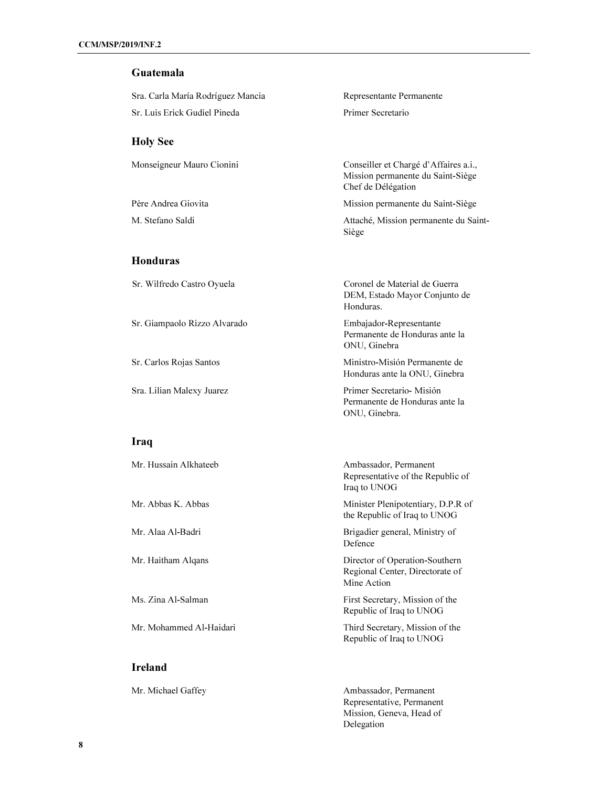## Guatemala

| Sra. Carla María Rodríguez Mancia | Representante Permanente                                                                         |
|-----------------------------------|--------------------------------------------------------------------------------------------------|
| Sr. Luis Erick Gudiel Pineda      | Primer Secretario                                                                                |
|                                   |                                                                                                  |
| <b>Holy See</b>                   |                                                                                                  |
| Monseigneur Mauro Cionini         | Conseiller et Chargé d'Affaires a.i.,<br>Mission permanente du Saint-Siège<br>Chef de Délégation |
| Père Andrea Giovita               | Mission permanente du Saint-Siège                                                                |
| M. Stefano Saldi                  | Attaché, Mission permanente du Saint-<br>Siège                                                   |
| <b>Honduras</b>                   |                                                                                                  |
| Sr. Wilfredo Castro Oyuela        | Coronel de Material de Guerra<br>DEM, Estado Mayor Conjunto de<br>Honduras.                      |
| Sr. Giampaolo Rizzo Alvarado      | Embajador-Representante<br>Permanente de Honduras ante la<br>ONU, Ginebra                        |
| Sr. Carlos Rojas Santos           | Ministro-Misión Permanente de<br>Honduras ante la ONU, Ginebra                                   |
| Sra. Lilian Malexy Juarez         | Primer Secretario-Misión<br>Permanente de Honduras ante la<br>ONU, Ginebra.                      |
| Iraq                              |                                                                                                  |
| Mr. Hussain Alkhateeb             | Ambassador, Permanent<br>Representative of the Republic of<br>Iraq to UNOG                       |
| Mr. Abbas K. Abbas                | Minister Plenipotentiary, D.P.R of<br>the Republic of Iraq to UNOG                               |
|                                   |                                                                                                  |

Mr. Alaa Al-Badri Brigadier general, Ministry of Defence

Mr. Haitham Alqans Director of Operation-Southern Regional Center, Directorate of Mine Action

Ms. Zina Al-Salman First Secretary, Mission of the Republic of Iraq to UNOG

Mr. Mohammed Al-Haidari Third Secretary, Mission of the Republic of Iraq to UNOG

Mr. Michael Gaffey **Ambassador**, Permanent Representative, Permanent Mission, Geneva, Head of Delegation

Ireland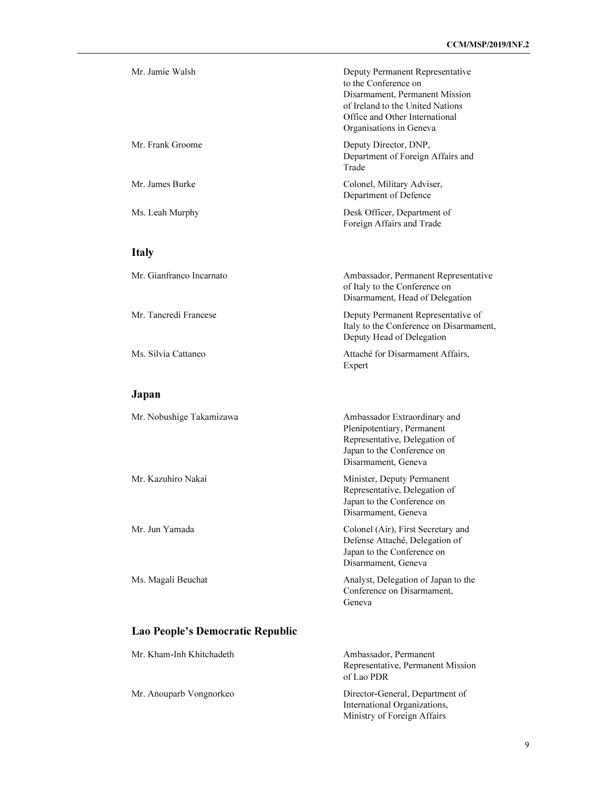| Mr. Jamie Walsh                  | Deputy Permanent Representative<br>to the Conference on<br>Disarmament, Permanent Mission<br>of Ireland to the United Nations<br>Office and Other International<br>Organisations in Geneva |
|----------------------------------|--------------------------------------------------------------------------------------------------------------------------------------------------------------------------------------------|
| Mr. Frank Groome                 | Deputy Director, DNP,<br>Department of Foreign Affairs and<br>Trade                                                                                                                        |
| Mr. James Burke                  | Colonel, Military Adviser,<br>Department of Defence                                                                                                                                        |
| Ms. Leah Murphy                  | Desk Officer, Department of<br>Foreign Affairs and Trade                                                                                                                                   |
| <b>Italy</b>                     |                                                                                                                                                                                            |
| Mr. Gianfranco Incarnato         | Ambassador, Permanent Representative<br>of Italy to the Conference on<br>Disarmament, Head of Delegation                                                                                   |
| Mr. Tancredi Francese            | Deputy Permanent Representative of<br>Italy to the Conference on Disarmament,<br>Deputy Head of Delegation                                                                                 |
| Ms. Silvia Cattaneo              | Attaché for Disarmament Affairs,<br>Expert                                                                                                                                                 |
| Japan                            |                                                                                                                                                                                            |
| Mr. Nobushige Takamizawa         | Ambassador Extraordinary and<br>Plenipotentiary, Permanent<br>Representative, Delegation of<br>Japan to the Conference on<br>Disarmament, Geneva                                           |
| Mr. Kazuhiro Nakai               | Minister, Deputy Permanent<br>Representative, Delegation of<br>Japan to the Conference on<br>Disarmament, Geneva                                                                           |
| Mr. Jun Yamada                   | Colonel (Air), First Secretary and<br>Defense Attaché, Delegation of<br>Japan to the Conference on<br>Disarmament, Geneva                                                                  |
| Ms. Magali Beuchat               | Analyst, Delegation of Japan to the<br>Conference on Disarmament,<br>Geneva                                                                                                                |
| Lao People's Democratic Republic |                                                                                                                                                                                            |

Mr. Kham-Inh Khitchadeth Ambassador, Permanent Representative, Permanent Mission of Lao PDR Mr. Aṅouparb Vongnorkeo Director-General, Department of International Organizations, Ministry of Foreign Affairs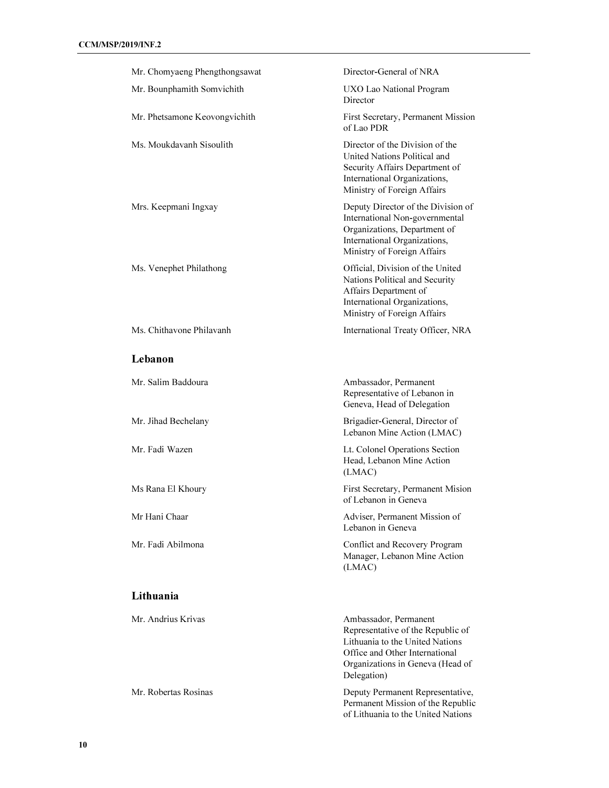| Mr. Chomyaeng Phengthongsawat | Director-General of NRA                                                                                                                                                            |
|-------------------------------|------------------------------------------------------------------------------------------------------------------------------------------------------------------------------------|
| Mr. Bounphamith Somvichith    | UXO Lao National Program<br>Director                                                                                                                                               |
| Mr. Phetsamone Keovongvichith | First Secretary, Permanent Mission<br>of Lao PDR                                                                                                                                   |
| Ms. Moukdavanh Sisoulith      | Director of the Division of the<br>United Nations Political and<br>Security Affairs Department of<br>International Organizations,<br>Ministry of Foreign Affairs                   |
| Mrs. Keepmani Ingxay          | Deputy Director of the Division of<br>International Non-governmental<br>Organizations, Department of<br>International Organizations,<br>Ministry of Foreign Affairs                |
| Ms. Venephet Philathong       | Official, Division of the United<br>Nations Political and Security<br>Affairs Department of<br>International Organizations,<br>Ministry of Foreign Affairs                         |
| Ms. Chithavone Philavanh      | International Treaty Officer, NRA                                                                                                                                                  |
| Lebanon                       |                                                                                                                                                                                    |
| Mr. Salim Baddoura            | Ambassador, Permanent<br>Representative of Lebanon in<br>Geneva, Head of Delegation                                                                                                |
| Mr. Jihad Bechelany           | Brigadier-General, Director of<br>Lebanon Mine Action (LMAC)                                                                                                                       |
| Mr. Fadi Wazen                | Lt. Colonel Operations Section<br>Head, Lebanon Mine Action<br>(LMAC)                                                                                                              |
| Ms Rana El Khoury             | First Secretary, Permanent Mision<br>of Lebanon in Geneva                                                                                                                          |
| Mr Hani Chaar                 | Adviser, Permanent Mission of<br>Lebanon in Geneva                                                                                                                                 |
| Mr. Fadi Abilmona             | Conflict and Recovery Program<br>Manager, Lebanon Mine Action<br>(LMAC)                                                                                                            |
| Lithuania                     |                                                                                                                                                                                    |
| Mr. Andrius Krivas            | Ambassador, Permanent<br>Representative of the Republic of<br>Lithuania to the United Nations<br>Office and Other International<br>Organizations in Geneva (Head of<br>Delegation) |
| Mr. Robertas Rosinas          | Deputy Permanent Representative,                                                                                                                                                   |

Permanent Mission of the Republic of Lithuania to the United Nations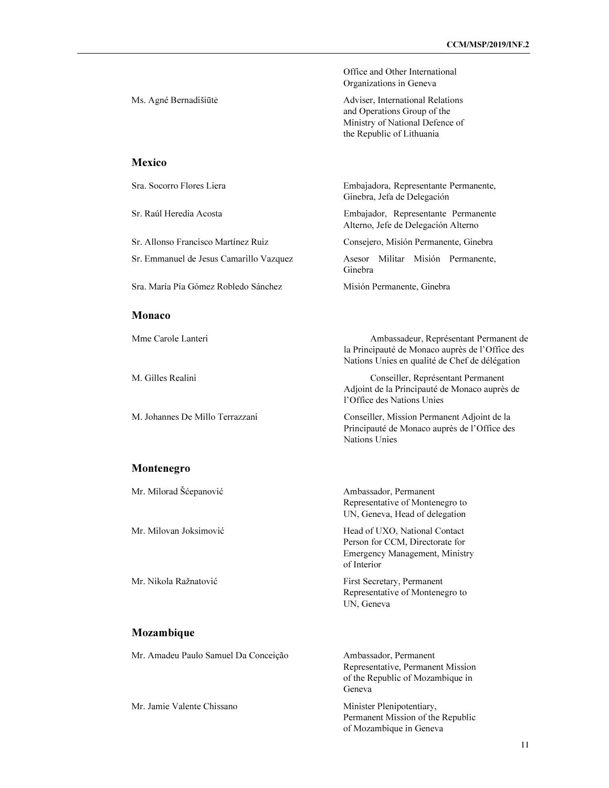|                                         | Office and Other International<br>Organizations in Geneva                                                                                   |
|-----------------------------------------|---------------------------------------------------------------------------------------------------------------------------------------------|
| Ms. Agné Bernadišiūtė                   | Adviser, International Relations<br>and Operations Group of the<br>Ministry of National Defence of<br>the Republic of Lithuania             |
| <b>Mexico</b>                           |                                                                                                                                             |
| Sra. Socorro Flores Liera               | Embajadora, Representante Permanente,<br>Ginebra, Jefa de Delegación                                                                        |
| Sr. Raúl Heredia Acosta                 | Embajador, Representante Permanente<br>Alterno, Jefe de Delegación Alterno                                                                  |
| Sr. Allonso Francisco Martínez Ruiz     | Consejero, Misión Permanente, Ginebra                                                                                                       |
| Sr. Emmanuel de Jesus Camarillo Vazquez | Asesor Militar Misión Permanente,<br>Ginebra                                                                                                |
| Sra. María Pía Gómez Robledo Sánchez    | Misión Permanente, Ginebra                                                                                                                  |
| Monaco                                  |                                                                                                                                             |
| Mme Carole Lanteri                      | Ambassadeur, Représentant Permanent de<br>la Principauté de Monaco auprès de l'Office des<br>Nations Unies en qualité de Chef de délégation |
| M. Gilles Realini                       | Conseiller, Représentant Permanent<br>Adjoint de la Principauté de Monaco auprès de<br>l'Office des Nations Unies                           |
| M. Johannes De Millo Terrazzani         | Conseiller, Mission Permanent Adjoint de la<br>Principauté de Monaco auprès de l'Office des<br>Nations Unies                                |
| Montenegro                              |                                                                                                                                             |
| Mr. Milorad Šćepanović                  | Ambassador, Permanent<br>Representative of Montenegro to<br>UN, Geneva, Head of delegation                                                  |
| Mr. Milovan Joksimović                  | Head of UXO, National Contact<br>Person for CCM, Directorate for<br>Emergency Management, Ministry<br>of Interior                           |
| Mr. Nikola Ražnatović                   | First Secretary, Permanent<br>Representative of Montenegro to<br>UN, Geneva                                                                 |
| Mozambique                              |                                                                                                                                             |
| Mr. Amadeu Paulo Samuel Da Conceição    | Ambassador, Permanent<br>Representative, Permanent Mission<br>of the Republic of Mozambique in<br>Geneva                                    |
| Mr. Jamie Valente Chissano              | Minister Plenipotentiary,                                                                                                                   |

Permanent Mission of the Republic of Mozambique in Geneva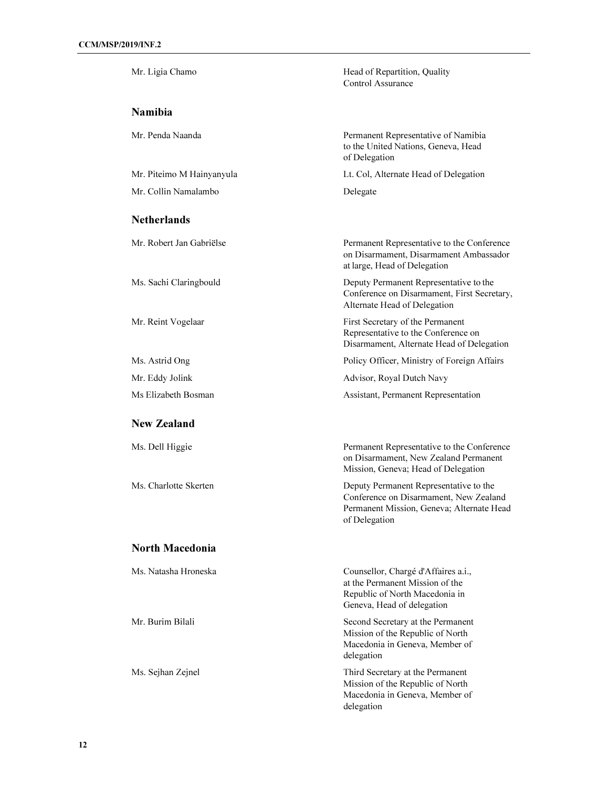| Mr. Ligia Chamo           | Head of Repartition, Quality<br>Control Assurance                                                                                              |
|---------------------------|------------------------------------------------------------------------------------------------------------------------------------------------|
| <b>Namibia</b>            |                                                                                                                                                |
| Mr. Penda Naanda          | Permanent Representative of Namibia<br>to the United Nations, Geneva, Head<br>of Delegation                                                    |
| Mr. Piteimo M Hainyanyula | Lt. Col, Alternate Head of Delegation                                                                                                          |
| Mr. Collin Namalambo      | Delegate                                                                                                                                       |
| <b>Netherlands</b>        |                                                                                                                                                |
| Mr. Robert Jan Gabriëlse  | Permanent Representative to the Conference<br>on Disarmament, Disarmament Ambassador<br>at large, Head of Delegation                           |
| Ms. Sachi Claringbould    | Deputy Permanent Representative to the<br>Conference on Disarmament, First Secretary,<br>Alternate Head of Delegation                          |
| Mr. Reint Vogelaar        | First Secretary of the Permanent<br>Representative to the Conference on<br>Disarmament, Alternate Head of Delegation                           |
| Ms. Astrid Ong            | Policy Officer, Ministry of Foreign Affairs                                                                                                    |
| Mr. Eddy Jolink           | Advisor, Royal Dutch Navy                                                                                                                      |
| Ms Elizabeth Bosman       | Assistant, Permanent Representation                                                                                                            |
| <b>New Zealand</b>        |                                                                                                                                                |
| Ms. Dell Higgie           | Permanent Representative to the Conference<br>on Disarmament, New Zealand Permanent<br>Mission, Geneva; Head of Delegation                     |
| Ms. Charlotte Skerten     | Deputy Permanent Representative to the<br>Conference on Disarmament, New Zealand<br>Permanent Mission, Geneva; Alternate Head<br>of Delegation |
| <b>North Macedonia</b>    |                                                                                                                                                |
| Ms. Natasha Hroneska      | Counsellor, Chargé d'Affaires a.i.,<br>at the Permanent Mission of the<br>Republic of North Macedonia in<br>Geneva, Head of delegation         |
| Mr. Burim Bilali          | Second Secretary at the Permanent<br>Mission of the Republic of North<br>Macedonia in Geneva, Member of<br>delegation                          |
| Ms. Sejhan Zejnel         | Third Secretary at the Permanent<br>Mission of the Republic of North<br>Macedonia in Geneva, Member of<br>delegation                           |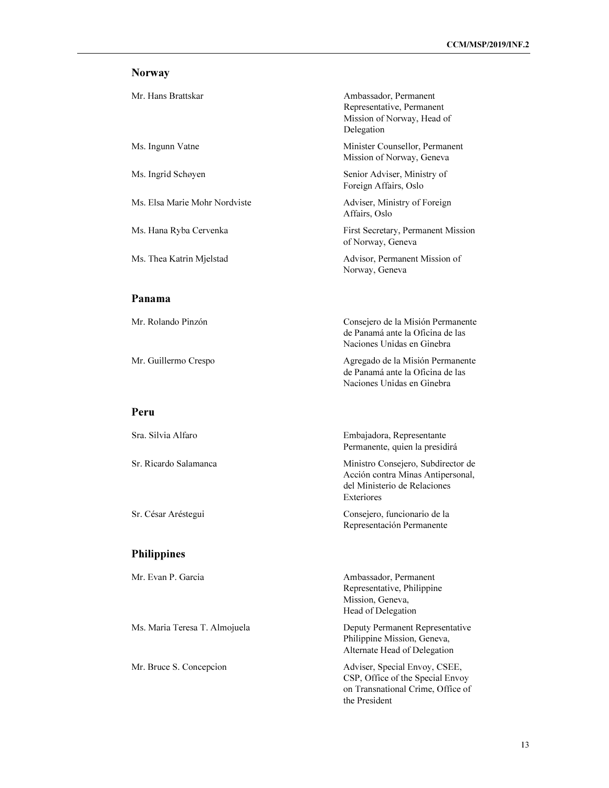# Norway

| Mr. Hans Brattskar            | Ambassador, Permanent<br>Representative, Permanent<br>Mission of Norway, Head of<br>Delegation          |
|-------------------------------|---------------------------------------------------------------------------------------------------------|
| Ms. Ingunn Vatne              | Minister Counsellor, Permanent<br>Mission of Norway, Geneva                                             |
| Ms. Ingrid Schøyen            | Senior Adviser, Ministry of<br>Foreign Affairs, Oslo                                                    |
| Ms. Elsa Marie Mohr Nordviste | Adviser, Ministry of Foreign<br>Affairs, Oslo                                                           |
| Ms. Hana Ryba Cervenka        | First Secretary, Permanent Mission<br>of Norway, Geneva                                                 |
| Ms. Thea Katrin Mjelstad      | Advisor, Permanent Mission of<br>Norway, Geneva                                                         |
| Panama                        |                                                                                                         |
| Mr. Rolando Pinzón            | Consejero de la Misión Permanente<br>de Panamá ante la Oficina de las<br>Naciones Unidas en Ginebra     |
| Mr. Guillermo Crespo          | Agregado de la Misión Permanente<br>de Panamá ante la Oficina de las<br>Naciones Unidas en Ginebra      |
| Peru                          |                                                                                                         |
| Sra. Silvia Alfaro            | Embajadora, Representante<br>Permanente, quien la presidirá                                             |
| Sr. Ricardo Salamanca         | Ministro Consejero, Subdirector de<br>Acción contra Minas Antipersonal,<br>del Ministerio de Relaciones |

Sr. César Aréstegui Consejero, funcionario de la

# Philippines

| Mr. Evan P. Garcia            | Ambassador, Permanent             |  |
|-------------------------------|-----------------------------------|--|
|                               | Representative, Philippine        |  |
|                               | Mission, Geneva,                  |  |
|                               | Head of Delegation                |  |
| Ms. Maria Teresa T. Almojuela | Deputy Permanent Representative   |  |
|                               | Philippine Mission, Geneva,       |  |
|                               | Alternate Head of Delegation      |  |
| Mr. Bruce S. Concepcion       | Adviser, Special Envoy, CSEE,     |  |
|                               | CSP, Office of the Special Envoy  |  |
|                               | on Transnational Crime, Office of |  |

Exteriores

the President

Representación Permanente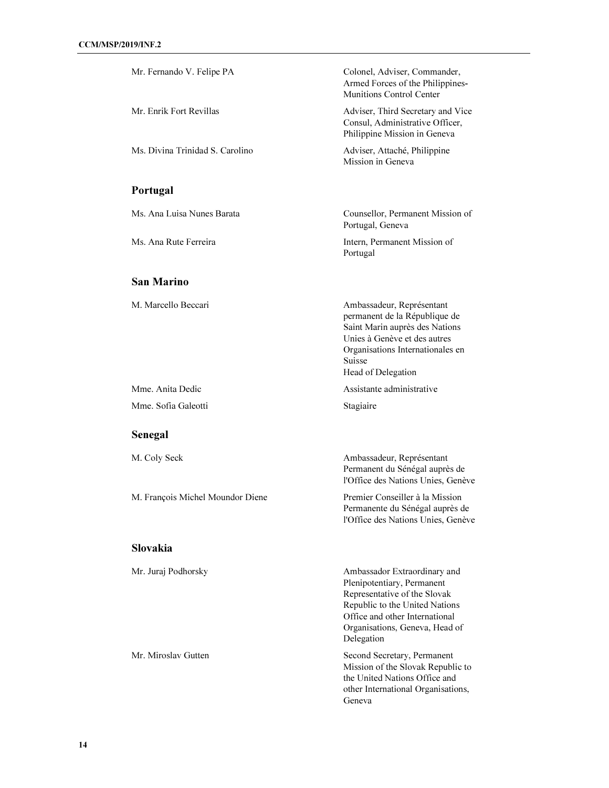| Mr. Fernando V. Felipe PA        | Colonel, Adviser, Commander,<br>Armed Forces of the Philippines-<br>Munitions Control Center                                                                                                                   |
|----------------------------------|----------------------------------------------------------------------------------------------------------------------------------------------------------------------------------------------------------------|
| Mr. Enrik Fort Revillas          | Adviser, Third Secretary and Vice<br>Consul, Administrative Officer,<br>Philippine Mission in Geneva                                                                                                           |
| Ms. Divina Trinidad S. Carolino  | Adviser, Attaché, Philippine<br>Mission in Geneva                                                                                                                                                              |
| Portugal                         |                                                                                                                                                                                                                |
| Ms. Ana Luisa Nunes Barata       | Counsellor, Permanent Mission of<br>Portugal, Geneva                                                                                                                                                           |
| Ms. Ana Rute Ferreira            | Intern, Permanent Mission of<br>Portugal                                                                                                                                                                       |
| <b>San Marino</b>                |                                                                                                                                                                                                                |
| M. Marcello Beccari              | Ambassadeur, Représentant<br>permanent de la République de<br>Saint Marin auprès des Nations<br>Unies à Genève et des autres<br>Organisations Internationales en<br>Suisse<br>Head of Delegation               |
| Mme. Anita Dedic                 | Assistante administrative                                                                                                                                                                                      |
| Mme. Sofia Galeotti              | Stagiaire                                                                                                                                                                                                      |
| Senegal                          |                                                                                                                                                                                                                |
| M. Coly Seck                     | Ambassadeur, Représentant<br>Permanent du Sénégal auprès de<br>l'Office des Nations Unies, Genève                                                                                                              |
| M. François Michel Moundor Diene | Premier Conseiller à la Mission<br>Permanente du Sénégal auprès de<br>l'Office des Nations Unies, Genève                                                                                                       |
| <b>Slovakia</b>                  |                                                                                                                                                                                                                |
| Mr. Juraj Podhorsky              | Ambassador Extraordinary and<br>Plenipotentiary, Permanent<br>Representative of the Slovak<br>Republic to the United Nations<br>Office and other International<br>Organisations, Geneva, Head of<br>Delegation |
| Mr. Miroslav Gutten              | Second Secretary, Permanent<br>Mission of the Slovak Republic to<br>the United Nations Office and<br>other International Organisations,<br>Geneva                                                              |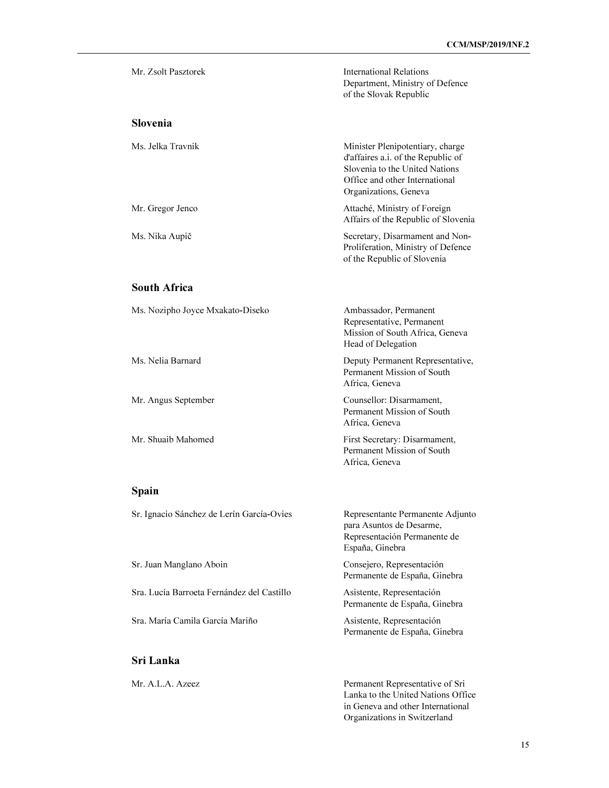| Mr. Zsolt Pasztorek                        | <b>International Relations</b><br>Department, Ministry of Defence<br>of the Slovak Republic                                                                         |
|--------------------------------------------|---------------------------------------------------------------------------------------------------------------------------------------------------------------------|
| <b>Slovenia</b>                            |                                                                                                                                                                     |
| Ms. Jelka Travnik                          | Minister Plenipotentiary, charge<br>d'affaires a.i. of the Republic of<br>Slovenia to the United Nations<br>Office and other International<br>Organizations, Geneva |
| Mr. Gregor Jenco                           | Attaché, Ministry of Foreign<br>Affairs of the Republic of Slovenia                                                                                                 |
| Ms. Nika Aupič                             | Secretary, Disarmament and Non-<br>Proliferation, Ministry of Defence<br>of the Republic of Slovenia                                                                |
| <b>South Africa</b>                        |                                                                                                                                                                     |
| Ms. Nozipho Joyce Mxakato-Diseko           | Ambassador, Permanent<br>Representative, Permanent<br>Mission of South Africa, Geneva<br>Head of Delegation                                                         |
| Ms. Nelia Barnard                          | Deputy Permanent Representative,<br>Permanent Mission of South<br>Africa, Geneva                                                                                    |
| Mr. Angus September                        | Counsellor: Disarmament,<br>Permanent Mission of South<br>Africa, Geneva                                                                                            |
| Mr. Shuaib Mahomed                         | First Secretary: Disarmament,<br>Permanent Mission of South<br>Africa, Geneva                                                                                       |
| Spain                                      |                                                                                                                                                                     |
| Sr. Ignacio Sánchez de Lerín García-Ovies  | Representante Permanente Adjunto<br>para Asuntos de Desarme,<br>Representación Permanente de<br>España, Ginebra                                                     |
| Sr. Juan Manglano Aboin                    | Consejero, Representación<br>Permanente de España, Ginebra                                                                                                          |
| Sra. Lucía Barroeta Fernández del Castillo | Asistente, Representación<br>Permanente de España, Ginebra                                                                                                          |
| Sra. María Camila García Mariño            | Asistente, Representación<br>Permanente de España, Ginebra                                                                                                          |

## Sri Lanka

Mr. A.L.A. Azeez Permanent Representative of Sri Lanka to the United Nations Office in Geneva and other International Organizations in Switzerland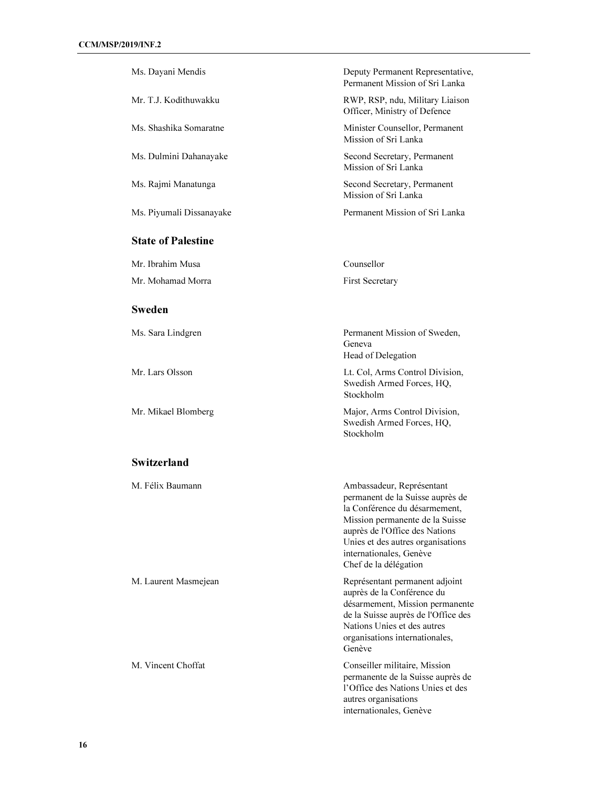| Ms. Dayani Mendis         | Deputy Permanent Representative,<br>Permanent Mission of Sri Lanka                                                                                                                                                                                           |
|---------------------------|--------------------------------------------------------------------------------------------------------------------------------------------------------------------------------------------------------------------------------------------------------------|
| Mr. T.J. Kodithuwakku     | RWP, RSP, ndu, Military Liaison<br>Officer, Ministry of Defence                                                                                                                                                                                              |
| Ms. Shashika Somaratne    | Minister Counsellor, Permanent<br>Mission of Sri Lanka                                                                                                                                                                                                       |
| Ms. Dulmini Dahanayake    | Second Secretary, Permanent<br>Mission of Sri Lanka                                                                                                                                                                                                          |
| Ms. Rajmi Manatunga       | Second Secretary, Permanent<br>Mission of Sri Lanka                                                                                                                                                                                                          |
| Ms. Piyumali Dissanayake  | Permanent Mission of Sri Lanka                                                                                                                                                                                                                               |
| <b>State of Palestine</b> |                                                                                                                                                                                                                                                              |
| Mr. Ibrahim Musa          | Counsellor                                                                                                                                                                                                                                                   |
| Mr. Mohamad Morra         | <b>First Secretary</b>                                                                                                                                                                                                                                       |
| <b>Sweden</b>             |                                                                                                                                                                                                                                                              |
| Ms. Sara Lindgren         | Permanent Mission of Sweden,<br>Geneva<br>Head of Delegation                                                                                                                                                                                                 |
| Mr. Lars Olsson           | Lt. Col, Arms Control Division,<br>Swedish Armed Forces, HQ,<br>Stockholm                                                                                                                                                                                    |
| Mr. Mikael Blomberg       | Major, Arms Control Division,<br>Swedish Armed Forces, HQ,<br>Stockholm                                                                                                                                                                                      |
| <b>Switzerland</b>        |                                                                                                                                                                                                                                                              |
| M. Félix Baumann          | Ambassadeur, Représentant<br>permanent de la Suisse auprès de<br>la Conférence du désarmement,<br>Mission permanente de la Suisse<br>auprès de l'Office des Nations<br>Unies et des autres organisations<br>internationales, Genève<br>Chef de la délégation |
| M. Laurent Masmejean      | Représentant permanent adjoint<br>auprès de la Conférence du<br>désarmement, Mission permanente<br>de la Suisse auprès de l'Office des<br>Nations Unies et des autres<br>organisations internationales,<br>Genève                                            |
| M. Vincent Choffat        | Conseiller militaire, Mission<br>permanente de la Suisse auprès de<br>l'Office des Nations Unies et des<br>autres organisations<br>internationales, Genève                                                                                                   |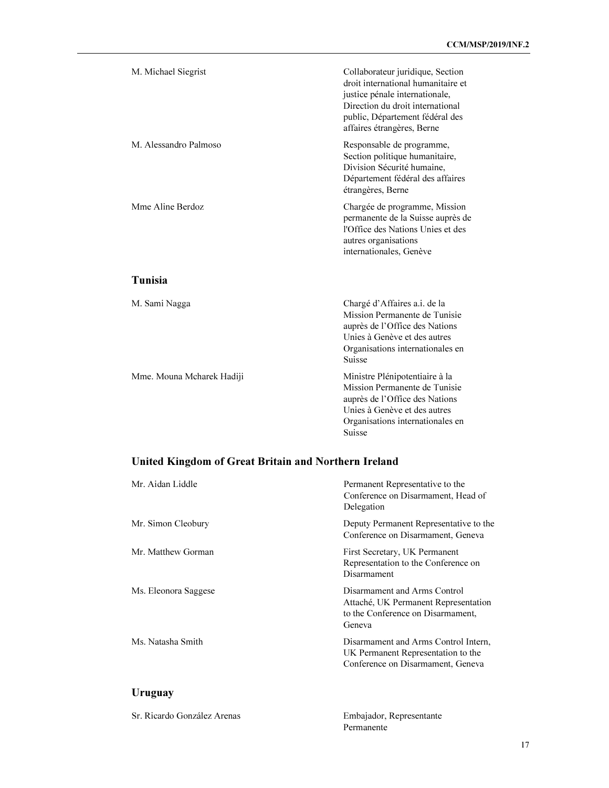| M. Michael Siegrist   | Collaborateur juridique, Section<br>droit international humanitaire et<br>justice pénale internationale,<br>Direction du droit international<br>public, Département fédéral des<br>affaires étrangères, Berne |
|-----------------------|---------------------------------------------------------------------------------------------------------------------------------------------------------------------------------------------------------------|
| M. Alessandro Palmoso | Responsable de programme,<br>Section politique humanitaire,<br>Division Sécurité humaine,<br>Département fédéral des affaires<br>étrangères, Berne                                                            |
| Mme Aline Berdoz      | Chargée de programme, Mission<br>permanente de la Suisse auprès de<br>l'Office des Nations Unies et des<br>autres organisations<br>internationales, Genève                                                    |

## Tunisia

| M. Sami Nagga             | Chargé d'Affaires a.i. de la<br>Mission Permanente de Tunisie<br>auprès de l'Office des Nations<br>Unies à Genève et des autres<br>Organisations internationales en<br><b>Suisse</b> |
|---------------------------|--------------------------------------------------------------------------------------------------------------------------------------------------------------------------------------|
| Mme. Mouna Mcharek Hadiji | Ministre Plénipotentiaire à la<br>Mission Permanente de Tunisie<br>auprès de l'Office des Nations<br>Unies à Genève et des autres<br>Organisations internationales en<br>Suisse      |

# United Kingdom of Great Britain and Northern Ireland

| Mr. Aidan Liddle     | Permanent Representative to the<br>Conference on Disarmament, Head of<br>Delegation                                 |
|----------------------|---------------------------------------------------------------------------------------------------------------------|
| Mr. Simon Cleobury   | Deputy Permanent Representative to the<br>Conference on Disarmament, Geneva                                         |
| Mr. Matthew Gorman   | First Secretary, UK Permanent<br>Representation to the Conference on<br>Disarmament                                 |
| Ms. Eleonora Saggese | Disarmament and Arms Control<br>Attaché, UK Permanent Representation<br>to the Conference on Disarmament,<br>Geneva |
| Ms. Natasha Smith    | Disarmament and Arms Control Intern,<br>UK Permanent Representation to the<br>Conference on Disarmament, Geneva     |
|                      |                                                                                                                     |

# Uruguay

| Sr. Ricardo González Arenas | Embajador, Representante |
|-----------------------------|--------------------------|
|                             | Permanente               |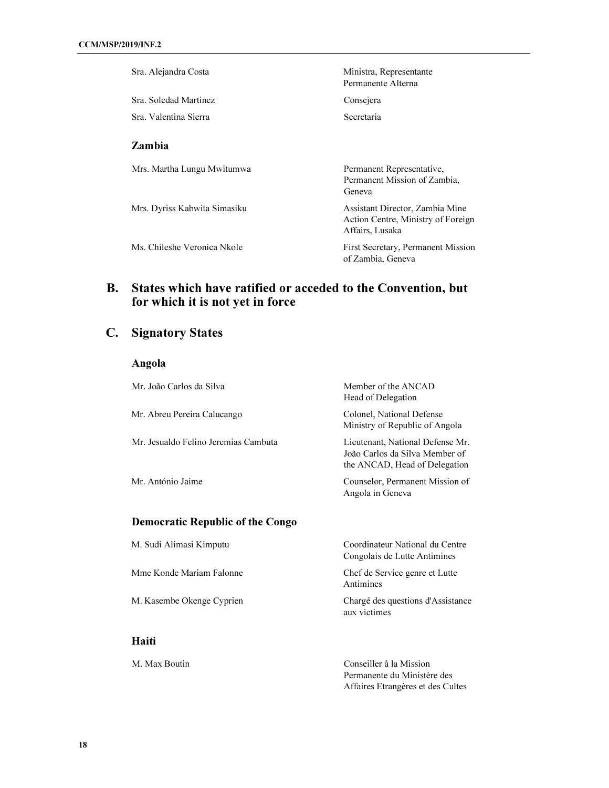| Sra. Alejandra Costa         | Ministra, Representante<br>Permanente Alterna                                            |
|------------------------------|------------------------------------------------------------------------------------------|
| Sra. Soledad Martinez        | Consejera                                                                                |
| Sra. Valentina Sierra        | <b>Secretaria</b>                                                                        |
| <b>Zambia</b>                |                                                                                          |
| Mrs. Martha Lungu Mwitumwa   | Permanent Representative,<br>Permanent Mission of Zambia.<br>Geneva                      |
| Mrs. Dyriss Kabwita Simasiku | Assistant Director, Zambia Mine<br>Action Centre, Ministry of Foreign<br>Affairs, Lusaka |
| Ms. Chileshe Veronica Nkole  | First Secretary, Permanent Mission<br>of Zambia, Geneva                                  |

# B. States which have ratified or acceded to the Convention, but for which it is not yet in force

# C. Signatory States

Angola

| Mr. João Carlos da Silva                | Member of the ANCAD<br>Head of Delegation                                                           |
|-----------------------------------------|-----------------------------------------------------------------------------------------------------|
| Mr. Abreu Pereira Calucango             | Colonel, National Defense<br>Ministry of Republic of Angola                                         |
| Mr. Jesualdo Felino Jeremias Cambuta    | Lieutenant, National Defense Mr.<br>João Carlos da Silva Member of<br>the ANCAD, Head of Delegation |
| Mr. António Jaime                       | Counselor, Permanent Mission of<br>Angola in Geneva                                                 |
| <b>Democratic Republic of the Congo</b> |                                                                                                     |
| M. Sudi Alimasi Kimputu                 | Coordinateur National du Centre<br>Congolais de Lutte Antimines                                     |
| Mme Konde Mariam Falonne                | Chef de Service genre et Lutte<br>Antimines                                                         |
| M. Kasembe Okenge Cyprien               | Chargé des questions d'Assistance<br>aux victimes                                                   |
| Haiti                                   |                                                                                                     |
| M. Max Boutin                           | Conseiller à la Mission<br>Permanente du Ministère des                                              |

Affaires Etrangères et des Cultes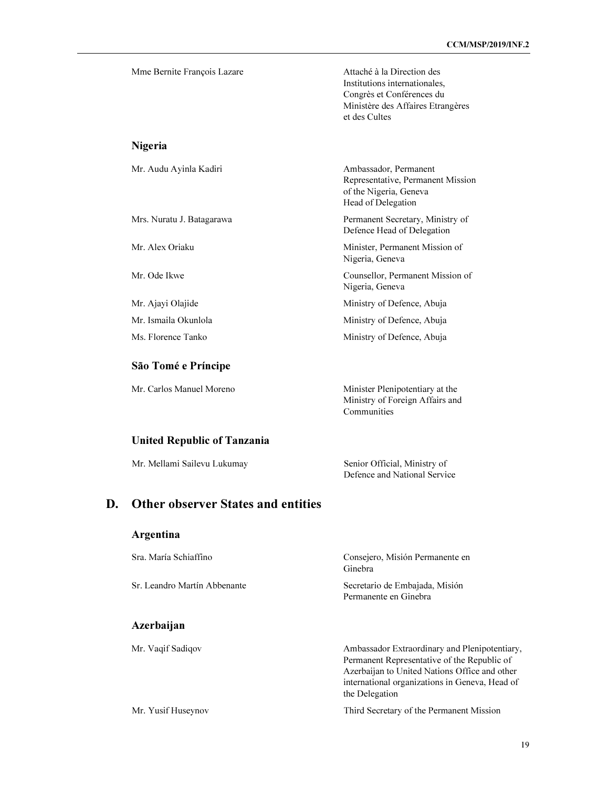| Mme Bernite François Lazare | Attaché à la Direction des<br>Institutions internationales,<br>Congrès et Conférences du<br>Ministère des Affaires Etrangères<br>et des Cultes |
|-----------------------------|------------------------------------------------------------------------------------------------------------------------------------------------|
| <b>Nigeria</b>              |                                                                                                                                                |
| Mr. Audu Ayinla Kadiri      | Ambassador, Permanent<br>Representative, Permanent Mission<br>of the Nigeria, Geneva<br>Head of Delegation                                     |
| Mrs. Nuratu J. Batagarawa   | Permanent Secretary, Ministry of<br>Defence Head of Delegation                                                                                 |
| Mr. Alex Oriaku             | Minister, Permanent Mission of<br>Nigeria, Geneva                                                                                              |
| Mr. Ode Ikwe                | Counsellor, Permanent Mission of<br>Nigeria, Geneva                                                                                            |
| Mr. Ajayi Olajide           | Ministry of Defence, Abuja                                                                                                                     |
| Mr. Ismaila Okunlola        | Ministry of Defence, Abuja                                                                                                                     |

São Tomé e Príncipe

Mr. Carlos Manuel Moreno Minister Plenipotentiary at the Ministry of Foreign Affairs and Communities

Ms. Florence Tanko Ministry of Defence, Abuja

#### United Republic of Tanzania

Mr. Mellami Sailevu Lukumay Senior Official, Ministry of

Defence and National Service

## D. Other observer States and entities

#### Argentina

| Sra. María Schiaffino        | Consejero, Misión Permanente en<br>Ginebra                                                                                                                                                                        |
|------------------------------|-------------------------------------------------------------------------------------------------------------------------------------------------------------------------------------------------------------------|
| Sr. Leandro Martín Abbenante | Secretario de Embajada, Misión<br>Permanente en Ginebra                                                                                                                                                           |
| Azerbaijan                   |                                                                                                                                                                                                                   |
| Mr. Vagif Sadigov            | Ambassador Extraordinary and Plenipotentiary,<br>Permanent Representative of the Republic of<br>Azerbaijan to United Nations Office and other<br>international organizations in Geneva, Head of<br>the Delegation |
| Mr. Yusif Huseynov           | Third Secretary of the Permanent Mission                                                                                                                                                                          |
|                              |                                                                                                                                                                                                                   |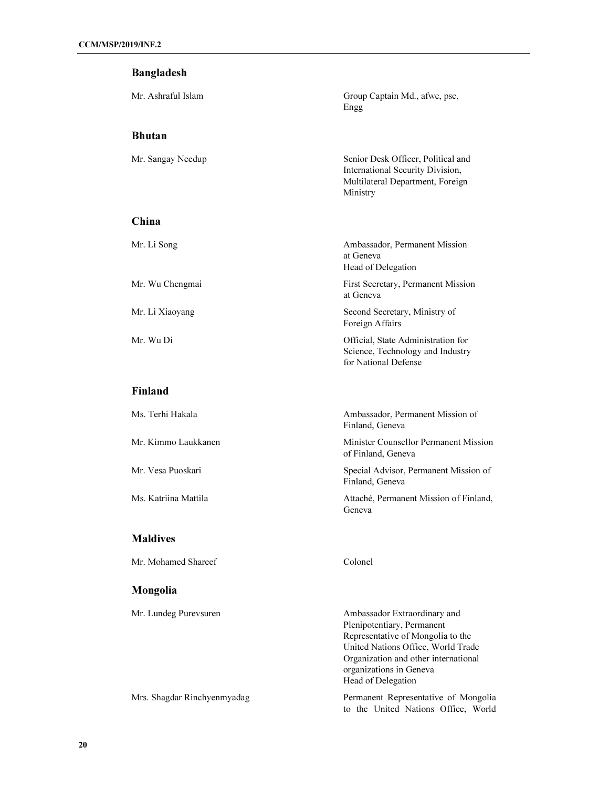#### Bangladesh

#### Bhutan

Mr. Ashraful Islam Group Captain Md., afwc, psc, Engg

Mr. Sangay Needup Senior Desk Officer, Political and International Security Division, Multilateral Department, Foreign Ministry

for National Defense

#### China

| Mr. Li Song     | Ambassador, Permanent Mission<br>at Geneva<br>Head of Delegation       |
|-----------------|------------------------------------------------------------------------|
| Mr. Wu Chengmai | First Secretary, Permanent Mission<br>at Geneva                        |
| Mr. Li Xiaoyang | Second Secretary, Ministry of<br>Foreign Affairs                       |
| Mr. Wu Di       | Official, State Administration for<br>Science, Technology and Industry |

### Finland

| Ms. Terhi Hakala     | Ambassador, Permanent Mission of<br>Finland, Geneva         |
|----------------------|-------------------------------------------------------------|
| Mr. Kimmo Laukkanen  | Minister Counsellor Permanent Mission<br>of Finland, Geneva |
| Mr. Vesa Puoskari    | Special Advisor, Permanent Mission of<br>Finland, Geneva    |
| Ms. Katriina Mattila | Attaché, Permanent Mission of Finland,<br>Geneva            |
| -----                |                                                             |

#### Maldives

Mr. Mohamed Shareef Colonel

### Mongolia

Mr. Lundeg Purevsuren Ambassador Extraordinary and Plenipotentiary, Permanent Representative of Mongolia to the United Nations Office, World Trade Organization and other international organizations in Geneva Head of Delegation

Mrs. Shagdar Rinchyenmyadag Permanent Representative of Mongolia to the United Nations Office, World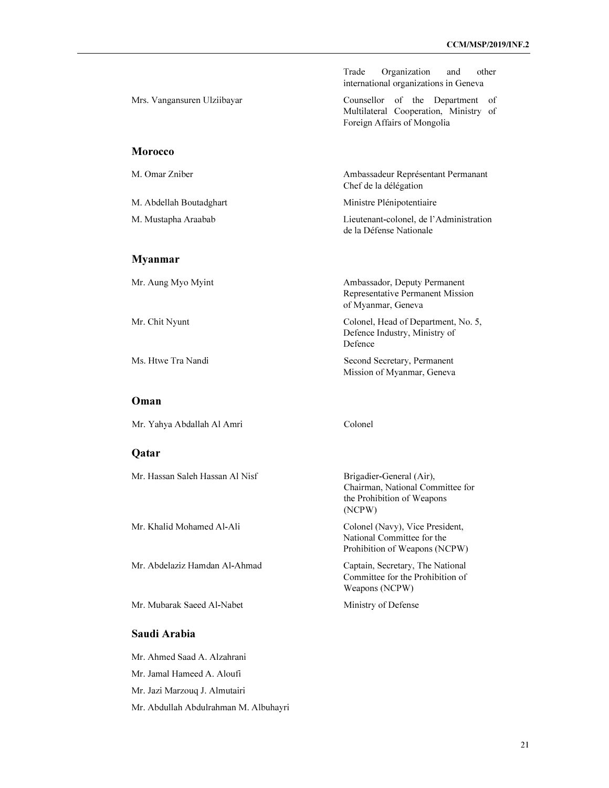|                                 | Trade<br>Organization<br>other<br>and<br>international organizations in Geneva                                        |
|---------------------------------|-----------------------------------------------------------------------------------------------------------------------|
| Mrs. Vangansuren Ulziibayar     | Counsellor of the Department<br><sub>of</sub><br>Multilateral Cooperation, Ministry of<br>Foreign Affairs of Mongolia |
| <b>Morocco</b>                  |                                                                                                                       |
| M. Omar Zniber                  | Ambassadeur Représentant Permanant<br>Chef de la délégation                                                           |
| M. Abdellah Boutadghart         | Ministre Plénipotentiaire                                                                                             |
| M. Mustapha Araabab             | Lieutenant-colonel, de l'Administration<br>de la Défense Nationale                                                    |
| <b>Myanmar</b>                  |                                                                                                                       |
| Mr. Aung Myo Myint              | Ambassador, Deputy Permanent<br>Representative Permanent Mission<br>of Myanmar, Geneva                                |
| Mr. Chit Nyunt                  | Colonel, Head of Department, No. 5,<br>Defence Industry, Ministry of<br>Defence                                       |
| Ms. Htwe Tra Nandi              | Second Secretary, Permanent<br>Mission of Myanmar, Geneva                                                             |
| Oman                            |                                                                                                                       |
| Mr. Yahya Abdallah Al Amri      | Colonel                                                                                                               |
| Qatar                           |                                                                                                                       |
| Mr. Hassan Saleh Hassan Al Nisf | Brigadier-General (Air),<br>Chairman, National Committee for<br>the Prohibition of Weapons<br>(NCPW)                  |
| Mr. Khalid Mohamed Al-Ali       | Colonel (Navy), Vice President,<br>National Committee for the<br>Prohibition of Weapons (NCPW)                        |
| Mr. Abdelaziz Hamdan Al-Ahmad   | Captain, Secretary, The National<br>Committee for the Prohibition of<br>Weapons (NCPW)                                |
| Mr. Mubarak Saeed Al-Nabet      | Ministry of Defense                                                                                                   |
| Saudi Arabia                    |                                                                                                                       |
| Mr. Ahmed Saad A. Alzahrani     |                                                                                                                       |
|                                 |                                                                                                                       |

Mr. Jamal Hameed A. Aloufi

Mr. Jazi Marzouq J. Almutairi

Mr. Abdullah Abdulrahman M. Albuhayri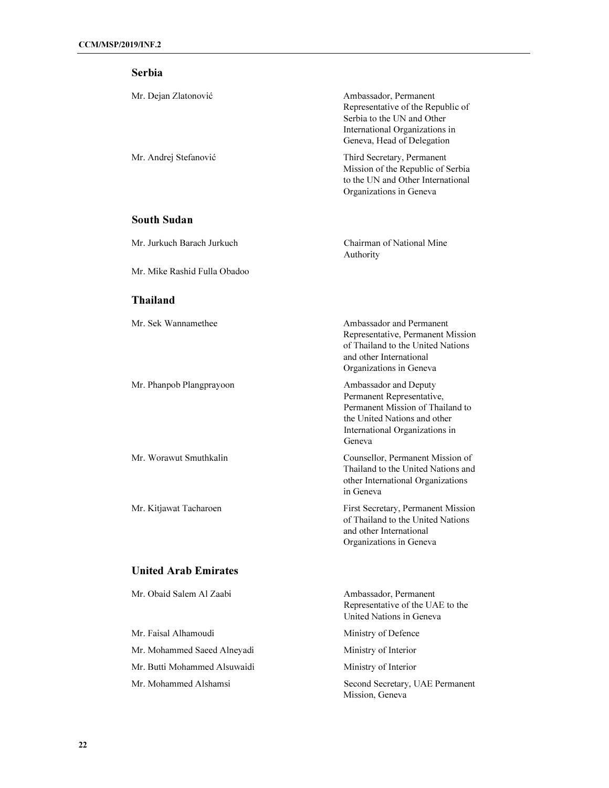| <b>Serbia</b>                |                                                                                                                                                                    |
|------------------------------|--------------------------------------------------------------------------------------------------------------------------------------------------------------------|
| Mr. Dejan Zlatonović         | Ambassador, Permanent<br>Representative of the Republic of<br>Serbia to the UN and Other<br>International Organizations in<br>Geneva, Head of Delegation           |
| Mr. Andrej Stefanović        | Third Secretary, Permanent<br>Mission of the Republic of Serbia<br>to the UN and Other International<br>Organizations in Geneva                                    |
| <b>South Sudan</b>           |                                                                                                                                                                    |
| Mr. Jurkuch Barach Jurkuch   | Chairman of National Mine<br>Authority                                                                                                                             |
| Mr. Mike Rashid Fulla Obadoo |                                                                                                                                                                    |
| <b>Thailand</b>              |                                                                                                                                                                    |
| Mr. Sek Wannamethee          | Ambassador and Permanent<br>Representative, Permanent Mission<br>of Thailand to the United Nations<br>and other International<br>Organizations in Geneva           |
| Mr. Phanpob Plangprayoon     | Ambassador and Deputy<br>Permanent Representative,<br>Permanent Mission of Thailand to<br>the United Nations and other<br>International Organizations in<br>Geneva |
| Mr. Worawut Smuthkalin       | Counsellor, Permanent Mission of<br>Thailand to the United Nations and<br>other International Organizations<br>in Geneva                                           |
| Mr. Kitjawat Tacharoen       | First Secretary, Permanent Mission<br>of Thailand to the United Nations<br>and other International<br>Organizations in Geneva                                      |
| <b>United Arab Emirates</b>  |                                                                                                                                                                    |
| Mr. Obaid Salem Al Zaabi     | Ambassador, Permanent                                                                                                                                              |

Mr. Faisal Alhamoudi Ministry of Defence Mr. Mohammed Saeed Alneyadi Ministry of Interior Mr. Butti Mohammed Alsuwaidi Ministry of Interior Mr. Mohammed Alshamsi Second Secretary, UAE Permanent

Representative of the UAE to the United Nations in Geneva

Mission, Geneva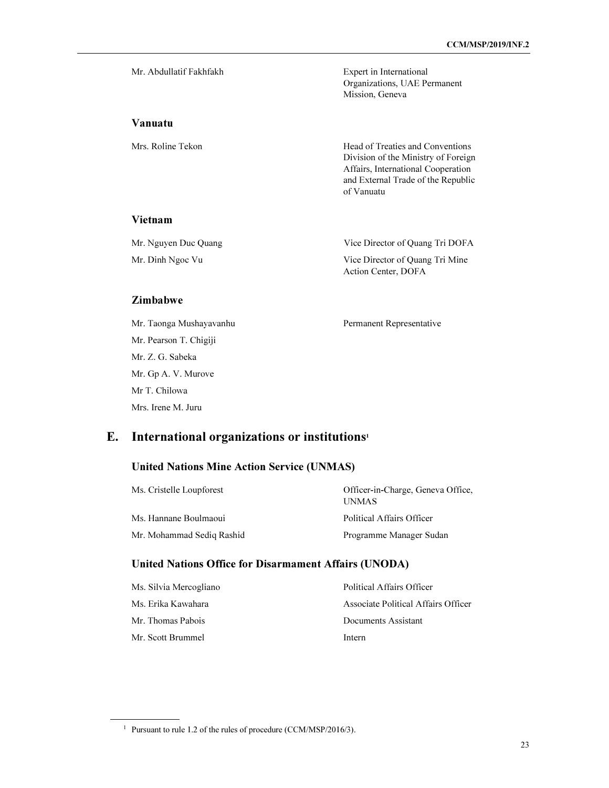| Mr. Abdullatif Fakhfakh | Expert in International<br>Organizations, UAE Permanent<br>Mission, Geneva                                                                                        |
|-------------------------|-------------------------------------------------------------------------------------------------------------------------------------------------------------------|
| Vanuatu                 |                                                                                                                                                                   |
| Mrs. Roline Tekon       | Head of Treaties and Conventions<br>Division of the Ministry of Foreign<br>Affairs, International Cooperation<br>and External Trade of the Republic<br>of Vanuatu |

#### Vietnam

| Mr. Nguyen Duc Quang | Vice Director of Quang Tri DOFA |
|----------------------|---------------------------------|
| Mr. Dinh Ngoc Vu     | Vice Director of Quang Tri Mine |
|                      | Action Center, DOFA             |

#### Zimbabwe

l

Mr. Taonga Mushayavanhu Permanent Representative Mr. Pearson T. Chigiji Mr. Z. G. Sabeka Mr. Gp A. V. Murove Mr T. Chilowa Mrs. Irene M. Juru

## E. International organizations or institutions<sup>1</sup>

## United Nations Mine Action Service (UNMAS)

| Ms. Cristelle Loupforest  | Officer-in-Charge, Geneva Office,<br><b>UNMAS</b> |
|---------------------------|---------------------------------------------------|
| Ms. Hannane Boulmaoui     | Political Affairs Officer                         |
| Mr. Mohammad Sedig Rashid | Programme Manager Sudan                           |

#### United Nations Office for Disarmament Affairs (UNODA)

| Ms. Silvia Mercogliano | Political Affairs Officer           |
|------------------------|-------------------------------------|
| Ms. Erika Kawahara     | Associate Political Affairs Officer |
| Mr. Thomas Pabois      | Documents Assistant                 |
| Mr. Scott Brummel      | Intern                              |

<sup>&</sup>lt;sup>1</sup> Pursuant to rule 1.2 of the rules of procedure (CCM/MSP/2016/3).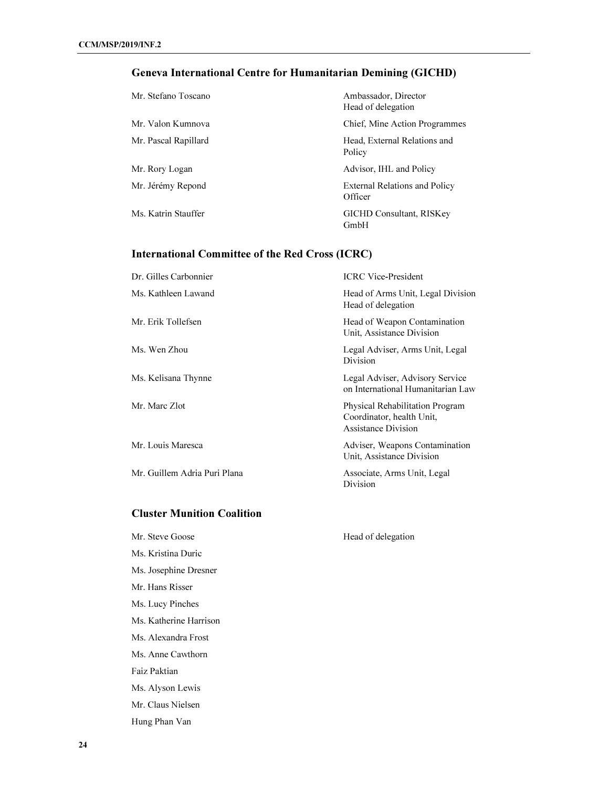# Geneva International Centre for Humanitarian Demining (GICHD)

| Mr. Stefano Toscano  | Ambassador, Director<br>Head of delegation      |
|----------------------|-------------------------------------------------|
| Mr. Valon Kumnova    | Chief, Mine Action Programmes                   |
| Mr. Pascal Rapillard | Head, External Relations and<br>Policy          |
| Mr. Rory Logan       | Advisor, IHL and Policy                         |
| Mr. Jérémy Repond    | <b>External Relations and Policy</b><br>Officer |
| Ms. Katrin Stauffer  | <b>GICHD Consultant, RISKey</b><br>GmbH         |

# International Committee of the Red Cross (ICRC)

| Dr. Gilles Carbonnier        | <b>ICRC</b> Vice-President                                                                 |
|------------------------------|--------------------------------------------------------------------------------------------|
| Ms. Kathleen Lawand          | Head of Arms Unit, Legal Division<br>Head of delegation                                    |
| Mr. Erik Tollefsen           | Head of Weapon Contamination<br>Unit, Assistance Division                                  |
| Ms. Wen Zhou                 | Legal Adviser, Arms Unit, Legal<br>Division                                                |
| Ms. Kelisana Thynne          | Legal Adviser, Advisory Service<br>on International Humanitarian Law                       |
| Mr. Marc Zlot                | Physical Rehabilitation Program<br>Coordinator, health Unit,<br><b>Assistance Division</b> |
| Mr. Louis Maresca            | Adviser, Weapons Contamination<br>Unit, Assistance Division                                |
| Mr. Guillem Adria Puri Plana | Associate, Arms Unit, Legal<br>Division                                                    |
|                              |                                                                                            |

### Cluster Munition Coalition

| Mr. Steve Goose        |
|------------------------|
| Ms. Kristina Duric     |
| Ms. Josephine Dresner  |
| Mr. Hans Risser        |
| Ms. Lucy Pinches       |
| Ms. Katherine Harrison |
| Ms. Alexandra Frost    |
| Ms. Anne Cawthorn      |
| Faiz Paktian           |
| Ms. Alyson Lewis       |
| Mr. Claus Nielsen      |
| Hung Phan Van          |

Head of delegation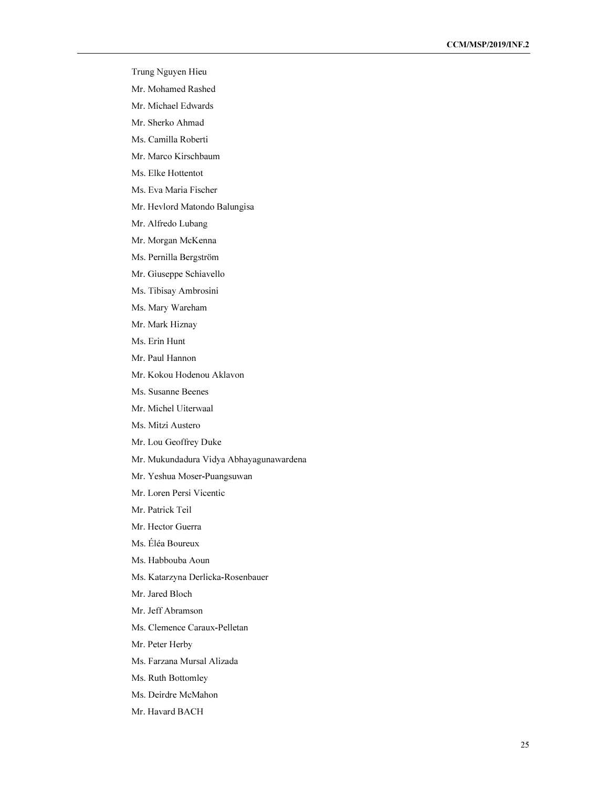- Trung Nguyen Hieu
- Mr. Mohamed Rashed
- Mr. Michael Edwards
- Mr. Sherko Ahmad
- Ms. Camilla Roberti
- Mr. Marco Kirschbaum
- Ms. Elke Hottentot
- Ms. Eva Maria Fischer
- Mr. Hevlord Matondo Balungisa
- Mr. Alfredo Lubang
- Mr. Morgan McKenna
- Ms. Pernilla Bergström
- Mr. Giuseppe Schiavello
- Ms. Tibisay Ambrosini
- Ms. Mary Wareham
- Mr. Mark Hiznay
- Ms. Erin Hunt
- Mr. Paul Hannon
- Mr. Kokou Hodenou Aklavon
- Ms. Susanne Beenes
- Mr. Michel Uiterwaal
- Ms. Mitzi Austero
- Mr. Lou Geoffrey Duke
- Mr. Mukundadura Vidya Abhayagunawardena
- Mr. Yeshua Moser-Puangsuwan
- Mr. Loren Persi Vicentic
- Mr. Patrick Teil
- Mr. Hector Guerra
- Ms. Éléa Boureux
- Ms. Habbouba Aoun
- Ms. Katarzyna Derlicka-Rosenbauer
- Mr. Jared Bloch
- Mr. Jeff Abramson
- Ms. Clemence Caraux-Pelletan
- Mr. Peter Herby
- Ms. Farzana Mursal Alizada
- Ms. Ruth Bottomley
- Ms. Deirdre McMahon
- Mr. Havard BACH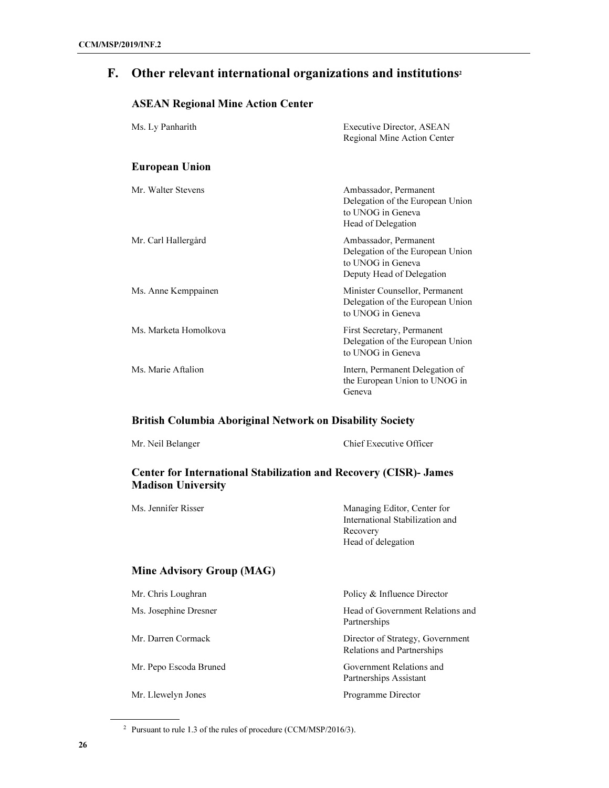# F. Other relevant international organizations and institutions<sup>2</sup>

## ASEAN Regional Mine Action Center

| Ms. Ly Panharith      | <b>Executive Director, ASEAN</b><br>Regional Mine Action Center                                             |
|-----------------------|-------------------------------------------------------------------------------------------------------------|
| <b>European Union</b> |                                                                                                             |
| Mr. Walter Stevens    | Ambassador, Permanent<br>Delegation of the European Union<br>to UNOG in Geneva<br>Head of Delegation        |
| Mr. Carl Hallergård   | Ambassador, Permanent<br>Delegation of the European Union<br>to UNOG in Geneva<br>Deputy Head of Delegation |
| Ms. Anne Kemppainen   | Minister Counsellor, Permanent<br>Delegation of the European Union<br>to UNOG in Geneva                     |
| Ms. Marketa Homolkova | First Secretary, Permanent<br>Delegation of the European Union<br>to UNOG in Geneva                         |
| Ms. Marie Aftalion    | Intern, Permanent Delegation of<br>the European Union to UNOG in<br>Geneva                                  |

#### British Columbia Aboriginal Network on Disability Society

| Mr. Neil Belanger | Chief Executive Officer |
|-------------------|-------------------------|
|                   |                         |

## Center for International Stabilization and Recovery (CISR)- James Madison University

| Ms. Jennifer Risser       | Managing Editor, Center for     |
|---------------------------|---------------------------------|
|                           | International Stabilization and |
|                           | Recovery                        |
|                           | Head of delegation              |
| Mine Advisory Group (MAG) |                                 |

| Mr. Chris Loughran     | Policy & Influence Director                                    |
|------------------------|----------------------------------------------------------------|
| Ms. Josephine Dresner  | Head of Government Relations and<br>Partnerships               |
| Mr. Darren Cormack     | Director of Strategy, Government<br>Relations and Partnerships |
| Mr. Pepo Escoda Bruned | Government Relations and<br>Partnerships Assistant             |
| Mr. Llewelyn Jones     | Programme Director                                             |

<sup>2</sup> Pursuant to rule 1.3 of the rules of procedure (CCM/MSP/2016/3).

l